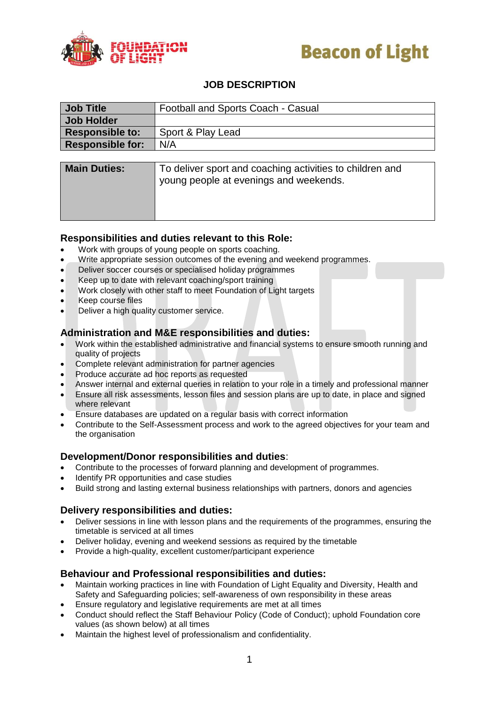



### **JOB DESCRIPTION**

| <b>Job Title</b>        | Football and Sports Coach - Casual                                                                 |
|-------------------------|----------------------------------------------------------------------------------------------------|
| <b>Job Holder</b>       |                                                                                                    |
| <b>Responsible to:</b>  | Sport & Play Lead                                                                                  |
| <b>Responsible for:</b> | N/A                                                                                                |
|                         |                                                                                                    |
| <b>Main Duties:</b>     | To deliver sport and coaching activities to children and<br>young people at evenings and weekends. |

#### **Responsibilities and duties relevant to this Role:**

- Work with groups of young people on sports coaching.
- Write appropriate session outcomes of the evening and weekend programmes.
- Deliver soccer courses or specialised holiday programmes
- Keep up to date with relevant coaching/sport training
- Work closely with other staff to meet Foundation of Light targets
- Keep course files
- Deliver a high quality customer service.

#### **Administration and M&E responsibilities and duties:**

- Work within the established administrative and financial systems to ensure smooth running and quality of projects
- Complete relevant administration for partner agencies
- Produce accurate ad hoc reports as requested
- Answer internal and external queries in relation to your role in a timely and professional manner
- Ensure all risk assessments, lesson files and session plans are up to date, in place and signed where relevant
- Ensure databases are updated on a regular basis with correct information
- Contribute to the Self-Assessment process and work to the agreed objectives for your team and the organisation

#### **Development/Donor responsibilities and duties**:

- Contribute to the processes of forward planning and development of programmes.
- Identify PR opportunities and case studies
- Build strong and lasting external business relationships with partners, donors and agencies

#### **Delivery responsibilities and duties:**

- Deliver sessions in line with lesson plans and the requirements of the programmes, ensuring the timetable is serviced at all times
- Deliver holiday, evening and weekend sessions as required by the timetable
- Provide a high-quality, excellent customer/participant experience

#### **Behaviour and Professional responsibilities and duties:**

- Maintain working practices in line with Foundation of Light Equality and Diversity, Health and Safety and Safeguarding policies; self-awareness of own responsibility in these areas
- Ensure regulatory and legislative requirements are met at all times
- Conduct should reflect the Staff Behaviour Policy (Code of Conduct); uphold Foundation core values (as shown below) at all times
- Maintain the highest level of professionalism and confidentiality.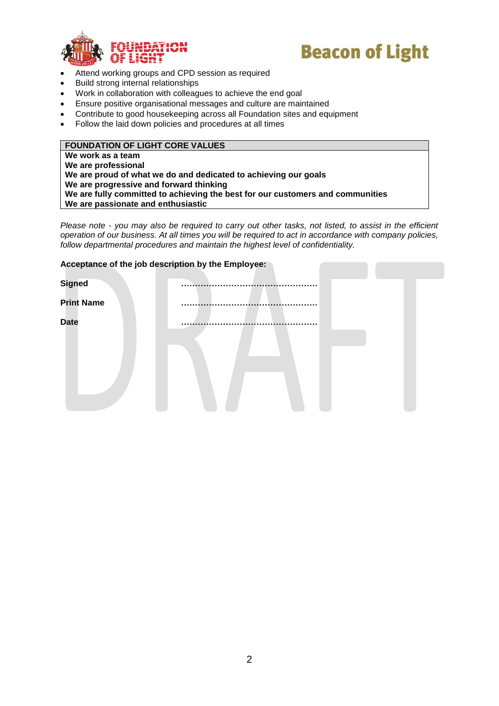



- Attend working groups and CPD session as required
- Build strong internal relationships
- Work in collaboration with colleagues to achieve the end goal
- Ensure positive organisational messages and culture are maintained
- Contribute to good housekeeping across all Foundation sites and equipment
- Follow the laid down policies and procedures at all times

#### **FOUNDATION OF LIGHT CORE VALUES**

**We work as a team We are professional We are proud of what we do and dedicated to achieving our goals We are progressive and forward thinking We are fully committed to achieving the best for our customers and communities We are passionate and enthusiastic**

*Please note - you may also be required to carry out other tasks, not listed, to assist in the efficient operation of our business. At all times you will be required to act in accordance with company policies, follow departmental procedures and maintain the highest level of confidentiality.*

|                   | Acceptance of the job description by the Employee: |
|-------------------|----------------------------------------------------|
| <b>Signed</b>     |                                                    |
| <b>Print Name</b> |                                                    |
| <b>Date</b>       |                                                    |
|                   |                                                    |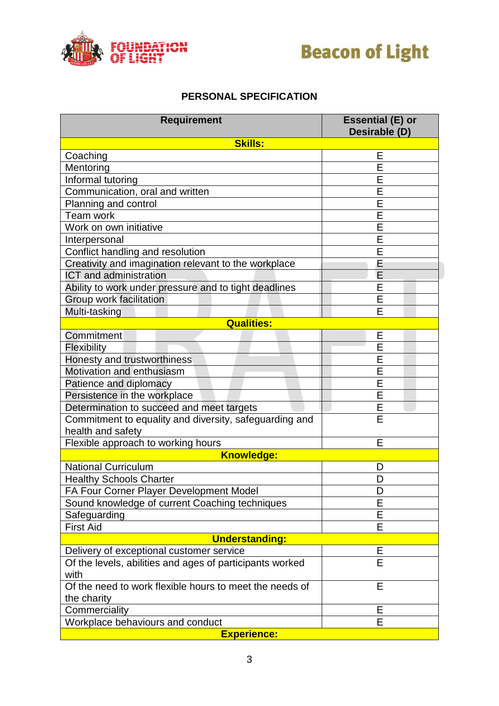



## **PERSONAL SPECIFICATION**

| <b>Requirement</b>                                       | <b>Essential (E) or</b><br>Desirable (D) |  |  |
|----------------------------------------------------------|------------------------------------------|--|--|
| <b>Skills:</b>                                           |                                          |  |  |
| Coaching                                                 | Ε                                        |  |  |
| Mentoring                                                | Ė                                        |  |  |
| Informal tutoring                                        | E                                        |  |  |
| Communication, oral and written                          | Ē                                        |  |  |
| Planning and control                                     | E                                        |  |  |
| Team work                                                | E                                        |  |  |
| Work on own initiative                                   | E                                        |  |  |
| Interpersonal                                            | Ė                                        |  |  |
| Conflict handling and resolution                         | E                                        |  |  |
| Creativity and imagination relevant to the workplace     | E                                        |  |  |
| <b>ICT</b> and administration                            | E                                        |  |  |
| Ability to work under pressure and to tight deadlines    | E                                        |  |  |
| Group work facilitation                                  | E                                        |  |  |
| Multi-tasking                                            | Ė                                        |  |  |
| <b>Qualities:</b>                                        |                                          |  |  |
| Commitment                                               | Е                                        |  |  |
| Flexibility                                              | Ē                                        |  |  |
| Honesty and trustworthiness                              | Ē                                        |  |  |
| Motivation and enthusiasm                                | Ē                                        |  |  |
| Patience and diplomacy                                   | E                                        |  |  |
| Persistence in the workplace                             | Ē                                        |  |  |
| Determination to succeed and meet targets                | E                                        |  |  |
| Commitment to equality and diversity, safeguarding and   | Ė                                        |  |  |
| health and safety                                        |                                          |  |  |
| Flexible approach to working hours                       | E                                        |  |  |
| <b>Knowledge:</b>                                        |                                          |  |  |
| <b>National Curriculum</b>                               | D                                        |  |  |
| <b>Healthy Schools Charter</b>                           | D                                        |  |  |
| FA Four Corner Player Development Model                  | D                                        |  |  |
| Sound knowledge of current Coaching techniques           | E                                        |  |  |
| Safeguarding                                             | E                                        |  |  |
| <b>First Aid</b>                                         | Е                                        |  |  |
| <b>Understanding:</b>                                    |                                          |  |  |
| Delivery of exceptional customer service                 | Ε                                        |  |  |
| Of the levels, abilities and ages of participants worked | E                                        |  |  |
| with                                                     |                                          |  |  |
| Of the need to work flexible hours to meet the needs of  | E                                        |  |  |
| the charity                                              |                                          |  |  |
| Commerciality                                            | Е                                        |  |  |
| Workplace behaviours and conduct                         | E                                        |  |  |
| <b>Experience:</b>                                       |                                          |  |  |